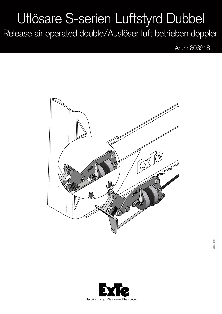## Utlösare S-serien Luftstyrd Dubbel

Release air operated double/Auslöser luft betrieben doppler

Art.nr 803218